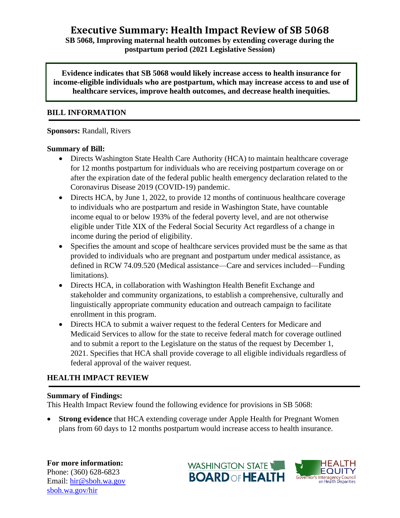**Executive Summary: Health Impact Review of SB 5068**

**SB 5068, Improving maternal health outcomes by extending coverage during the postpartum period (2021 Legislative Session)**

**Evidence indicates that SB 5068 would likely increase access to health insurance for income-eligible individuals who are postpartum, which may increase access to and use of healthcare services, improve health outcomes, and decrease health inequities.**

#### **BILL INFORMATION**

**Sponsors:** Randall, Rivers

### **Summary of Bill:**

- Directs Washington State Health Care Authority (HCA) to maintain healthcare coverage for 12 months postpartum for individuals who are receiving postpartum coverage on or after the expiration date of the federal public health emergency declaration related to the Coronavirus Disease 2019 (COVID-19) pandemic.
- Directs HCA, by June 1, 2022, to provide 12 months of continuous healthcare coverage to individuals who are postpartum and reside in Washington State, have countable income equal to or below 193% of the federal poverty level, and are not otherwise eligible under Title XIX of the Federal Social Security Act regardless of a change in income during the period of eligibility.
- Specifies the amount and scope of healthcare services provided must be the same as that provided to individuals who are pregnant and postpartum under medical assistance, as defined in RCW 74.09.520 (Medical assistance—Care and services included—Funding limitations).
- Directs HCA, in collaboration with Washington Health Benefit Exchange and stakeholder and community organizations, to establish a comprehensive, culturally and linguistically appropriate community education and outreach campaign to facilitate enrollment in this program.
- Directs HCA to submit a waiver request to the federal Centers for Medicare and Medicaid Services to allow for the state to receive federal match for coverage outlined and to submit a report to the Legislature on the status of the request by December 1, 2021. Specifies that HCA shall provide coverage to all eligible individuals regardless of federal approval of the waiver request.

## **HEALTH IMPACT REVIEW**

### **Summary of Findings:**

This Health Impact Review found the following evidence for provisions in SB 5068:

**Strong evidence** that HCA extending coverage under Apple Health for Pregnant Women plans from 60 days to 12 months postpartum would increase access to health insurance.

**For more information:** Phone: (360) 628-6823 Email: [hir@sboh.wa.gov](mailto:hir@sboh.wa.gov) [sboh.wa.gov/](http://sboh.wa.gov/)hir